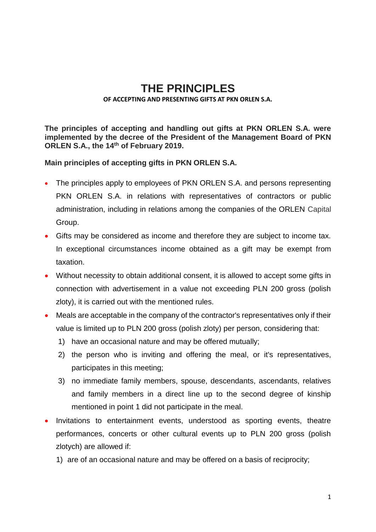## **THE PRINCIPLES**

## **OF ACCEPTING AND PRESENTING GIFTS AT PKN ORLEN S.A.**

**The principles of accepting and handling out gifts at PKN ORLEN S.A. were implemented by the decree of the President of the Management Board of PKN ORLEN S.A., the 14th of February 2019.**

**Main principles of accepting gifts in PKN ORLEN S.A.**

- The principles apply to employees of PKN ORLEN S.A. and persons representing PKN ORLEN S.A. in relations with representatives of contractors or public administration, including in relations among the companies of the ORLEN Capital Group.
- Gifts may be considered as income and therefore they are subject to income tax. In exceptional circumstances income obtained as a gift may be exempt from taxation.
- Without necessity to obtain additional consent, it is allowed to accept some gifts in connection with advertisement in a value not exceeding PLN 200 gross (polish zloty), it is carried out with the mentioned rules.
- Meals are acceptable in the company of the contractor's representatives only if their value is limited up to PLN 200 gross (polish zloty) per person, considering that:
	- 1) have an occasional nature and may be offered mutually;
	- 2) the person who is inviting and offering the meal, or it's representatives, participates in this meeting;
	- 3) no immediate family members, spouse, descendants, ascendants, relatives and family members in a direct line up to the second degree of kinship mentioned in point 1 did not participate in the meal.
- Invitations to entertainment events, understood as sporting events, theatre performances, concerts or other cultural events up to PLN 200 gross (polish zlotych) are allowed if:
	- 1) are of an occasional nature and may be offered on a basis of reciprocity;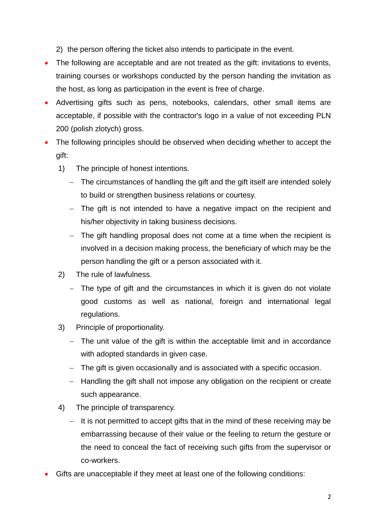2) the person offering the ticket also intends to participate in the event.

- The following are acceptable and are not treated as the gift: invitations to events, training courses or workshops conducted by the person handing the invitation as the host, as long as participation in the event is free of charge.
- Advertising gifts such as pens, notebooks, calendars, other small items are acceptable, if possible with the contractor's logo in a value of not exceeding PLN 200 (polish zlotych) gross.
- The following principles should be observed when deciding whether to accept the gift:
	- 1) The principle of honest intentions.
		- The circumstances of handling the gift and the gift itself are intended solely to build or strengthen business relations or courtesy.
		- The gift is not intended to have a negative impact on the recipient and his/her objectivity in taking business decisions.
		- The gift handling proposal does not come at a time when the recipient is involved in a decision making process, the beneficiary of which may be the person handling the gift or a person associated with it.
	- 2) The rule of lawfulness.
		- The type of gift and the circumstances in which it is given do not violate good customs as well as national, foreign and international legal regulations.
	- 3) Principle of proportionality.
		- The unit value of the gift is within the acceptable limit and in accordance with adopted standards in given case.
		- The gift is given occasionally and is associated with a specific occasion.
		- Handling the gift shall not impose any obligation on the recipient or create such appearance.
	- 4) The principle of transparency.
		- $-I$  It is not permitted to accept gifts that in the mind of these receiving may be embarrassing because of their value or the feeling to return the gesture or the need to conceal the fact of receiving such gifts from the supervisor or co-workers.
- Gifts are unacceptable if they meet at least one of the following conditions: